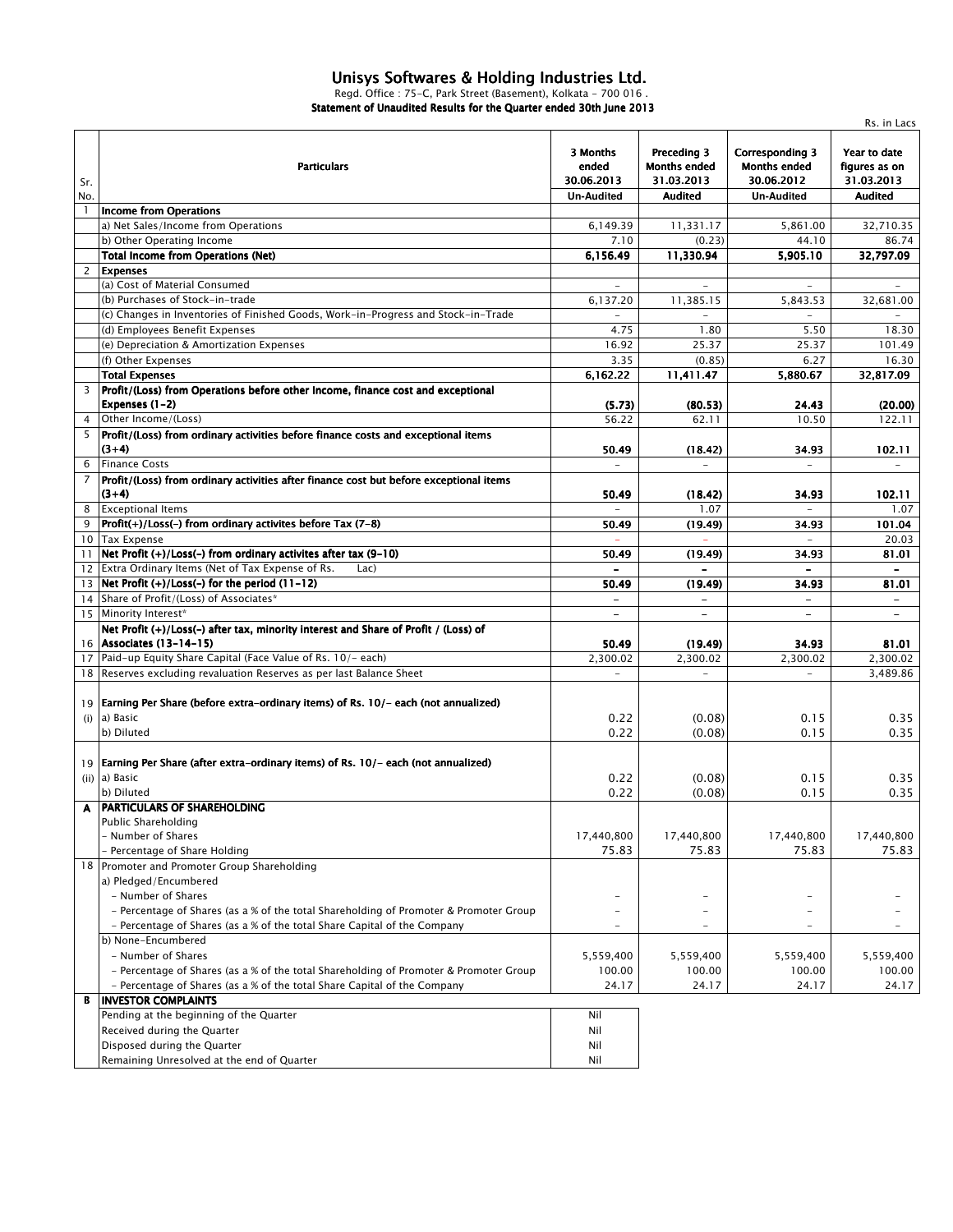## *Unisys Softwares & Holding Industries Ltd.*

*Regd. Office : 75-C, Park Street (Basement), Kolkata - 700 016 . Statement of Unaudited Results for the Quarter ended 30th June 2013*

|                 |                                                                                                                        |                                                      |                                                             |                                                                                  | Rs. in Lacs                                                   |
|-----------------|------------------------------------------------------------------------------------------------------------------------|------------------------------------------------------|-------------------------------------------------------------|----------------------------------------------------------------------------------|---------------------------------------------------------------|
| Sr.<br>No.      | <b>Particulars</b>                                                                                                     | 3 Months<br>ended<br>30.06.2013<br><b>Un-Audited</b> | Preceding 3<br><b>Months ended</b><br>31.03.2013<br>Audited | <b>Corresponding 3</b><br><b>Months ended</b><br>30.06.2012<br><b>Un-Audited</b> | Year to date<br>figures as on<br>31.03.2013<br><b>Audited</b> |
| $\mathbf{1}$    | <b>Income from Operations</b>                                                                                          |                                                      |                                                             |                                                                                  |                                                               |
|                 | a) Net Sales/Income from Operations                                                                                    | 6,149.39                                             | 11,331.17                                                   | 5,861.00                                                                         | 32,710.35                                                     |
|                 | b) Other Operating Income                                                                                              | 7.10                                                 | (0.23)                                                      | 44.10                                                                            | 86.74                                                         |
|                 | <b>Total Income from Operations (Net)</b>                                                                              | 6,156.49                                             | 11,330.94                                                   | 5,905.10                                                                         | 32,797.09                                                     |
| $\overline{2}$  | <b>Expenses</b>                                                                                                        |                                                      |                                                             |                                                                                  |                                                               |
|                 | (a) Cost of Material Consumed                                                                                          | $\overline{\phantom{a}}$                             |                                                             | $\overline{\phantom{a}}$                                                         | $\bar{a}$                                                     |
|                 | (b) Purchases of Stock-in-trade                                                                                        | 6,137.20                                             | 11.385.15                                                   | 5,843.53                                                                         | 32,681.00                                                     |
|                 | (c) Changes in Inventories of Finished Goods, Work-in-Progress and Stock-in-Trade                                      |                                                      |                                                             |                                                                                  |                                                               |
|                 | (d) Employees Benefit Expenses                                                                                         | 4.75                                                 | 1.80                                                        | 5.50                                                                             | 18.30                                                         |
|                 | (e) Depreciation & Amortization Expenses                                                                               | 16.92                                                | 25.37                                                       | 25.37                                                                            | 101.49                                                        |
|                 | (f) Other Expenses                                                                                                     | 3.35                                                 | (0.85)                                                      | 6.27                                                                             | 16.30                                                         |
|                 | <b>Total Expenses</b>                                                                                                  | 6,162.22                                             | 11,411.47                                                   | 5,880.67                                                                         | 32,817.09                                                     |
| 3               | Profit/(Loss) from Operations before other Income, finance cost and exceptional                                        |                                                      |                                                             |                                                                                  |                                                               |
|                 | Expenses (1-2)                                                                                                         | (5.73)                                               | (80.53)                                                     | 24.43                                                                            | (20.00)                                                       |
| $\overline{4}$  | Other Income/(Loss)                                                                                                    | 56.22                                                | 62.11                                                       | 10.50                                                                            | 122.11                                                        |
| 5               | Profit/(Loss) from ordinary activities before finance costs and exceptional items                                      |                                                      |                                                             |                                                                                  |                                                               |
|                 | $(3+4)$                                                                                                                | 50.49                                                | (18.42)                                                     | 34.93                                                                            | 102.11                                                        |
| 6               | <b>Finance Costs</b>                                                                                                   |                                                      | $\overline{\phantom{a}}$                                    | $\overline{\phantom{a}}$                                                         | $\overline{\phantom{a}}$                                      |
| 7               | Profit/(Loss) from ordinary activities after finance cost but before exceptional items                                 |                                                      |                                                             |                                                                                  |                                                               |
|                 | $(3+4)$                                                                                                                | 50.49                                                | (18.42)                                                     | 34.93                                                                            | 102.11                                                        |
| 8               | <b>Exceptional Items</b>                                                                                               | ÷.                                                   | 1.07                                                        | $\sim$                                                                           | 1.07                                                          |
| 9               | Profit(+)/Loss(-) from ordinary activites before Tax (7-8)                                                             | 50.49                                                | (19.49)                                                     | 34.93                                                                            | 101.04                                                        |
| 10 <sup>°</sup> | <b>Tax Expense</b>                                                                                                     |                                                      |                                                             |                                                                                  | 20.03                                                         |
| 11              | Net Profit (+)/Loss(-) from ordinary activites after tax (9-10)                                                        | 50.49                                                | (19.49)                                                     | 34.93                                                                            | 81.01                                                         |
|                 | 12 Extra Ordinary Items (Net of Tax Expense of Rs.<br>Lac)                                                             | $\blacksquare$                                       | $\blacksquare$                                              | $\overline{\phantom{0}}$                                                         | $\blacksquare$                                                |
| 13              | Net Profit $(+)/$ Loss $(-)$ for the period $(11-12)$                                                                  | 50.49                                                | (19.49)                                                     | 34.93                                                                            | 81.01                                                         |
| 14              | Share of Profit/(Loss) of Associates*                                                                                  |                                                      |                                                             | $\blacksquare$                                                                   |                                                               |
| 15              | Minority Interest*                                                                                                     | $\blacksquare$                                       | $\overline{\phantom{a}}$                                    | $\overline{\phantom{a}}$                                                         | $\overline{\phantom{0}}$                                      |
|                 | Net Profit (+)/Loss(-) after tax, minority interest and Share of Profit / (Loss) of                                    |                                                      |                                                             |                                                                                  |                                                               |
|                 | 16 Associates (13-14-15)                                                                                               | 50.49                                                | (19.49)                                                     | 34.93                                                                            | 81.01                                                         |
| 17              | Paid-up Equity Share Capital (Face Value of Rs. 10/- each)                                                             | 2,300.02                                             | 2,300.02                                                    | 2,300.02                                                                         | 2,300.02                                                      |
|                 | 18 Reserves excluding revaluation Reserves as per last Balance Sheet                                                   |                                                      |                                                             |                                                                                  | 3,489.86                                                      |
| (i)             | 19 Earning Per Share (before extra-ordinary items) of Rs. 10/- each (not annualized)<br>a) Basic<br>b) Diluted         | 0.22<br>0.22                                         | (0.08)<br>(0.08)                                            | 0.15<br>0.15                                                                     | 0.35<br>0.35                                                  |
|                 | 19   Earning Per Share (after extra-ordinary items) of Rs. 10/- each (not annualized)<br>$(ii)$ a) Basic<br>b) Diluted | 0.22<br>0.22                                         | (0.08)<br>(0.08)                                            | 0.15<br>0.15                                                                     | 0.35<br>0.35                                                  |
|                 | A PARTICULARS OF SHAREHOLDING                                                                                          |                                                      |                                                             |                                                                                  |                                                               |
|                 | <b>Public Shareholding</b>                                                                                             |                                                      |                                                             |                                                                                  |                                                               |
|                 | - Number of Shares                                                                                                     | 17,440,800                                           | 17,440,800                                                  | 17,440,800                                                                       | 17,440,800                                                    |
|                 | Percentage of Share Holding                                                                                            | 75.83                                                | 75.83                                                       | 75.83                                                                            | 75.83                                                         |
|                 | 18 Promoter and Promoter Group Shareholding                                                                            |                                                      |                                                             |                                                                                  |                                                               |
|                 | a) Pledged/Encumbered                                                                                                  |                                                      |                                                             |                                                                                  |                                                               |
|                 | - Number of Shares                                                                                                     |                                                      |                                                             |                                                                                  |                                                               |
|                 | - Percentage of Shares (as a % of the total Shareholding of Promoter & Promoter Group                                  |                                                      |                                                             |                                                                                  |                                                               |
|                 | - Percentage of Shares (as a % of the total Share Capital of the Company                                               |                                                      |                                                             |                                                                                  |                                                               |
|                 | b) None-Encumbered                                                                                                     |                                                      |                                                             |                                                                                  |                                                               |
|                 | - Number of Shares                                                                                                     | 5,559,400                                            | 5,559,400                                                   | 5,559,400                                                                        | 5,559,400                                                     |
|                 | - Percentage of Shares (as a % of the total Shareholding of Promoter & Promoter Group                                  | 100.00                                               | 100.00                                                      | 100.00                                                                           | 100.00                                                        |
|                 | - Percentage of Shares (as a % of the total Share Capital of the Company                                               | 24.17                                                | 24.17                                                       | 24.17                                                                            | 24.17                                                         |
| В               | <b>INVESTOR COMPLAINTS</b>                                                                                             |                                                      |                                                             |                                                                                  |                                                               |
|                 | Pending at the beginning of the Quarter                                                                                | Nil                                                  |                                                             |                                                                                  |                                                               |
|                 | Received during the Quarter                                                                                            | Nil                                                  |                                                             |                                                                                  |                                                               |
|                 | Disposed during the Quarter                                                                                            | Nil                                                  |                                                             |                                                                                  |                                                               |
|                 | Remaining Unresolved at the end of Quarter                                                                             | Nil                                                  |                                                             |                                                                                  |                                                               |